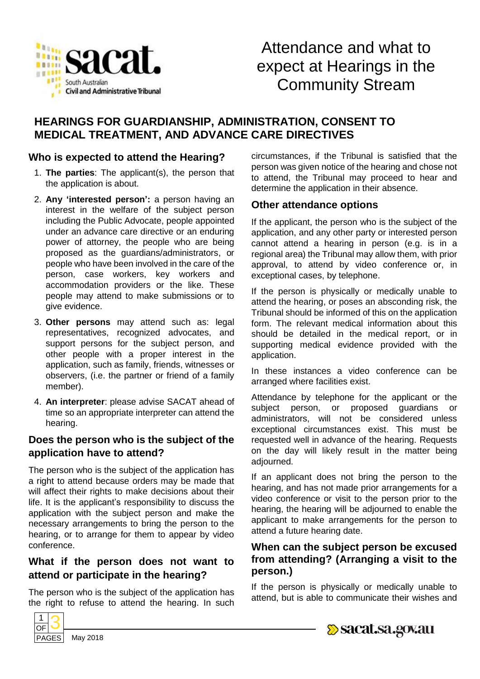

# Attendance and what to expect at Hearings in the Community Stream

# **HEARINGS FOR GUARDIANSHIP, ADMINISTRATION, CONSENT TO MEDICAL TREATMENT, AND ADVANCE CARE DIRECTIVES**

#### **Who is expected to attend the Hearing?**

- 1. **The parties**: The applicant(s), the person that the application is about.
- 2. **Any 'interested person':** a person having an interest in the welfare of the subject person including the Public Advocate, people appointed under an advance care directive or an enduring power of attorney, the people who are being proposed as the guardians/administrators, or people who have been involved in the care of the person, case workers, key workers and accommodation providers or the like. These people may attend to make submissions or to give evidence.
- 3. **Other persons** may attend such as: legal representatives, recognized advocates, and support persons for the subject person, and other people with a proper interest in the application, such as family, friends, witnesses or observers, (i.e. the partner or friend of a family member).
- 4. **An interpreter**: please advise SACAT ahead of time so an appropriate interpreter can attend the hearing.

#### **Does the person who is the subject of the application have to attend?**

The person who is the subject of the application has a right to attend because orders may be made that will affect their rights to make decisions about their life. It is the applicant's responsibility to discuss the application with the subject person and make the necessary arrangements to bring the person to the hearing, or to arrange for them to appear by video conference.

# **What if the person does not want to attend or participate in the hearing?**

The person who is the subject of the application has the right to refuse to attend the hearing. In such



#### **Other attendance options**

If the applicant, the person who is the subject of the application, and any other party or interested person cannot attend a hearing in person (e.g. is in a regional area) the Tribunal may allow them, with prior approval, to attend by video conference or, in exceptional cases, by telephone.

If the person is physically or medically unable to attend the hearing, or poses an absconding risk, the Tribunal should be informed of this on the application form. The relevant medical information about this should be detailed in the medical report, or in supporting medical evidence provided with the application.

In these instances a video conference can be arranged where facilities exist.

Attendance by telephone for the applicant or the subject person, or proposed guardians or administrators, will not be considered unless exceptional circumstances exist. This must be requested well in advance of the hearing. Requests on the day will likely result in the matter being adjourned.

If an applicant does not bring the person to the hearing, and has not made prior arrangements for a video conference or visit to the person prior to the hearing, the hearing will be adjourned to enable the applicant to make arrangements for the person to attend a future hearing date.

#### **When can the subject person be excused from attending? (Arranging a visit to the person.)**

If the person is physically or medically unable to attend, but is able to communicate their wishes and



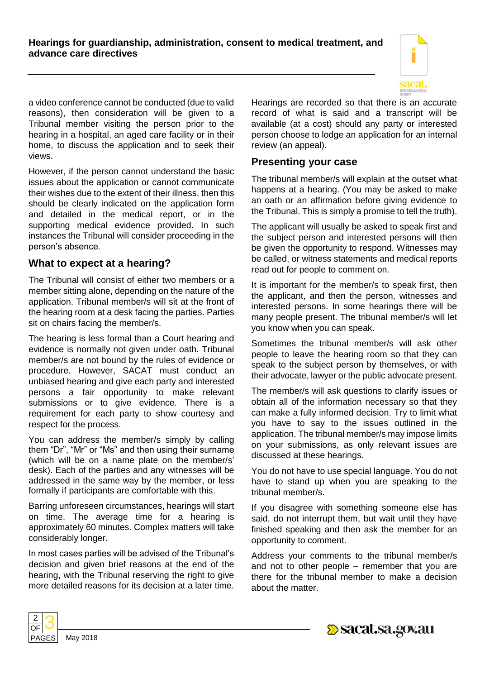**Hearings for guardianship, administration, consent to medical treatment, and advance care directives**



a video conference cannot be conducted (due to valid reasons), then consideration will be given to a Tribunal member visiting the person prior to the hearing in a hospital, an aged care facility or in their home, to discuss the application and to seek their views.

However, if the person cannot understand the basic issues about the application or cannot communicate their wishes due to the extent of their illness, then this should be clearly indicated on the application form and detailed in the medical report, or in the supporting medical evidence provided. In such instances the Tribunal will consider proceeding in the person's absence.

#### **What to expect at a hearing?**

The Tribunal will consist of either two members or a member sitting alone, depending on the nature of the application. Tribunal member/s will sit at the front of the hearing room at a desk facing the parties. Parties sit on chairs facing the member/s.

The hearing is less formal than a Court hearing and evidence is normally not given under oath. Tribunal member/s are not bound by the rules of evidence or procedure. However, SACAT must conduct an unbiased hearing and give each party and interested persons a fair opportunity to make relevant submissions or to give evidence. There is a requirement for each party to show courtesy and respect for the process.

You can address the member/s simply by calling them "Dr", "Mr" or "Ms" and then using their surname (which will be on a name plate on the member/s' desk). Each of the parties and any witnesses will be addressed in the same way by the member, or less formally if participants are comfortable with this.

Barring unforeseen circumstances, hearings will start on time. The average time for a hearing is approximately 60 minutes. Complex matters will take considerably longer.

In most cases parties will be advised of the Tribunal's decision and given brief reasons at the end of the hearing, with the Tribunal reserving the right to give more detailed reasons for its decision at a later time. Hearings are recorded so that there is an accurate record of what is said and a transcript will be available (at a cost) should any party or interested person choose to lodge an application for an internal review (an appeal).

#### **Presenting your case**

The tribunal member/s will explain at the outset what happens at a hearing. (You may be asked to make an oath or an affirmation before giving evidence to the Tribunal. This is simply a promise to tell the truth).

The applicant will usually be asked to speak first and the subject person and interested persons will then be given the opportunity to respond. Witnesses may be called, or witness statements and medical reports read out for people to comment on.

It is important for the member/s to speak first, then the applicant, and then the person, witnesses and interested persons. In some hearings there will be many people present. The tribunal member/s will let you know when you can speak.

Sometimes the tribunal member/s will ask other people to leave the hearing room so that they can speak to the subject person by themselves, or with their advocate, lawyer or the public advocate present.

The member/s will ask questions to clarify issues or obtain all of the information necessary so that they can make a fully informed decision. Try to limit what you have to say to the issues outlined in the application. The tribunal member/s may impose limits on your submissions, as only relevant issues are discussed at these hearings.

You do not have to use special language. You do not have to stand up when you are speaking to the tribunal member/s.

If you disagree with something someone else has said, do not interrupt them, but wait until they have finished speaking and then ask the member for an opportunity to comment.

Address your comments to the tribunal member/s and not to other people – remember that you are there for the tribunal member to make a decision about the matter.